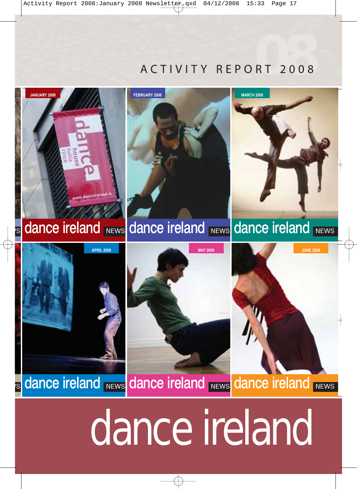## ACTIVITY REPORT 2008 **08**



# dance ireland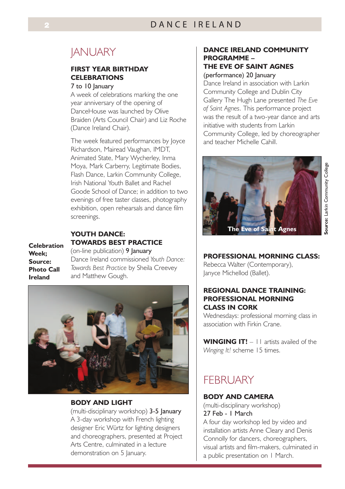## **JANUARY**

#### **FIRST YEAR BIRTHDAY CELEBRATIONS**

#### 7 to 10 lanuary

A week of celebrations marking the one year anniversary of the opening of DanceHouse was launched by Olive Braiden (Arts Council Chair) and Liz Roche (Dance Ireland Chair).

The week featured performances by Joyce Richardson, Mairead Vaughan, IMDT, Animated State, Mary Wycherley, Inma Moya, Mark Carberry, Legitimate Bodies, Flash Dance, Larkin Community College, Irish National Youth Ballet and Rachel Goode School of Dance; in addition to two evenings of free taster classes, photography exhibition, open rehearsals and dance film screenings.

#### **YOUTH DANCE: TOWARDS BEST PRACTICE**

**Celebration Week; Source: Photo Call Ireland**

(on-line publication) 9 January Dance Ireland commissioned *Youth Dance: Towards Best Practice* by Sheila Creevey and Matthew Gough.



#### **BODY AND LIGHT**

(multi-disciplinary workshop) 3-5 January A 3-day workshop with French lighting designer Eric Würtz for lighting designers and choreographers, presented at Project Arts Centre, culminated in a lecture demonstration on 5 January.

#### **DANCE IRELAND COMMUNITY PROGRAMME – THE EVE OF SAINT AGNES**

#### (performance) 20 January

Dance Ireland in association with Larkin Community College and Dublin City Gallery The Hugh Lane presented *The Eve of Saint Agnes*. This performance project was the result of a two-year dance and arts initiative with students from Larkin Community College, led by choreographer and teacher Michelle Cahill.



#### **PROFESSIONAL MORNING CLASS:**

Rebecca Walter (Contemporary), Janyce Michellod (Ballet).

#### **REGIONAL DANCE TRAINING: PROFESSIONAL MORNING CLASS IN CORK**

Wednesdays: professional morning class in association with Firkin Crane.

**WINGING IT!** – 11 artists availed of the *Winging It!* scheme 15 times.

## **FFBRUARY**

#### **BODY AND CAMERA**

(multi-disciplinary workshop) 27 Feb - 1 March

A four day workshop led by video and installation artists Anne Cleary and Denis Connolly for dancers, choreographers, visual artists and film-makers, culminated in a public presentation on 1 March.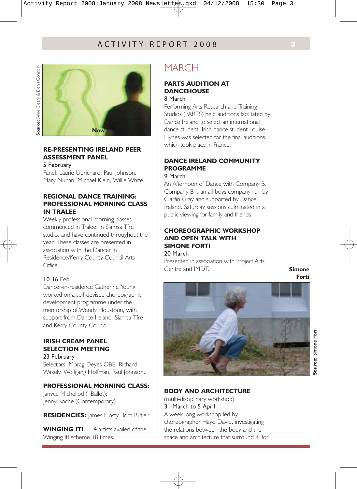

#### **RE-PRESENTING IRELAND PEER ASSESSMENT PANEL**

5 February

Panel: Laurie Uprichard, Paul Johnson, Mary Nunan, Michael Klein, Willie White.

#### **REGIONAL DANCE TRAINING: PROFESSIONAL MORNING CLASS IN TRALEE**

Weekly professional morning classes commenced in Tralee, in Siamsa Tíre studio, and have continued throughout the year. These classes are presented in association with the Dancer in Residence/Kerry County Council Arts Office.

#### 10-16 Feb

Dancer-in-residence Catherine Young worked on a self-devised choreographic development programme under the mentorship of Wendy Houstoun, with support from Dance Ireland, Siamsa Tíre and Kerry County Council.

#### **IRISH CREAM PANEL SELECTION MEETING**  23 February

Selectors: Morag Deyes OBE, Richard Wakely, Wolfgang Hoffman, Paul Johnson.

#### **PROFESSIONAL MORNING CLASS:**

Janyce Michellod (|Ballet); Jenny Roche (Contemporary)

**RESIDENCIES:** lames Hosty. Tom Butler.

**WINGING IT!** – 14 artists availed of the Winging It! scheme 18 times.

## **MARCH**

#### **PARTS AUDITION AT DANCEHOUSE**

8 March

Performing Arts Research and Training Studios (PARTS) held auditions facilitated by Dance Ireland to select an international dance student. Irish dance student Louise Hynes was selected for the final auditions which took place in France.

#### **DANCE IRELAND COMMUNITY PROGRAMME**

9 March

An Afternoon of Dance with Company B. Company B is an all-boys company run by Ciarán Gray and supported by Dance Ireland. Saturday sessions culminated in a public viewing for family and friends.

#### **CHOREOGRAPHIC WORKSHOP AND OPEN TALK WITH SIMONE FORTI**  20 March

Presented in association with Project Arts Centre and IMDT.

**Simone Forti**



**BODY AND ARCHITECTURE**

(multi-disciplinary workshop) 31 March to 5 April A week long workshop led by choreographer Hayo David, investigating the relations between the body and the space and architecture that surround it, for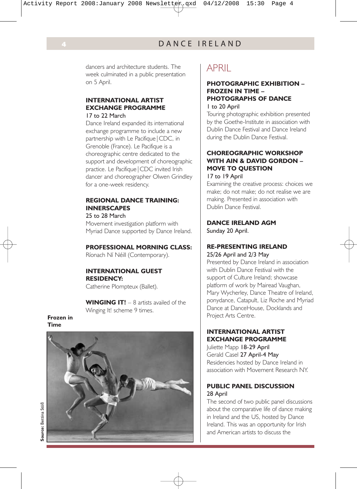dancers and architecture students. The week culminated in a public presentation on 5 April.

#### **INTERNATIONAL ARTIST EXCHANGE PROGRAMME**  17 to 22 March

Dance Ireland expanded its international exchange programme to include a new partnership with Le Pacifique|CDC, in Grenoble (France). Le Pacifique is a choreographic centre dedicated to the support and development of choreographic practice. Le Pacifique|CDC invited Irish dancer and choreographer Olwen Grindley for a one-week residency.

#### **REGIONAL DANCE TRAINING: INNERSCAPES**

25 to 28 March

Movement investigation platform with Myriad Dance supported by Dance Ireland.

#### **PROFESSIONAL MORNING CLASS:**

Ríonach Ní Néill (Contemporary).

#### **INTERNATIONAL GUEST RESIDENCY:**

Catherine Plompteux (Ballet).

WINGING IT! – 8 artists availed of the Winging It! scheme 9 times.

#### **Frozen in Time**



## APRIL

#### **PHOTOGRAPHIC EXHIBITION – FROZEN IN TIME – PHOTOGRAPHS OF DANCE** 1 to 20 April

Touring photographic exhibition presented by the Goethe-Institute in association with Dublin Dance Festival and Dance Ireland during the Dublin Dance Festival.

#### **CHOREOGRAPHIC WORKSHOP WITH AIN & DAVID GORDON – MOVE TO QUESTION** 17 to 19 April

Examining the creative process: choices we make; do not make; do not realise we are making. Presented in association with Dublin Dance Festival.

#### **DANCE IRELAND AGM**

Sunday 20 April.

#### **RE-PRESENTING IRELAND**  25/26 April and 2/3 May

Presented by Dance Ireland in association with Dublin Dance Festival with the support of Culture Ireland; showcase platform of work by Mairead Vaughan, Mary Wycherley, Dance Theatre of Ireland, ponydance, Catapult, Liz Roche and Myriad Dance at DanceHouse, Docklands and Project Arts Centre.

#### **INTERNATIONAL ARTIST EXCHANGE PROGRAMME**

Juliette Mapp 18-29 April Gerald Casel 27 April-4 May Residencies hosted by Dance Ireland in association with Movement Research NY.

#### **PUBLIC PANEL DISCUSSION** 28 April

The second of two public panel discussions about the comparative life of dance making in Ireland and the US, hosted by Dance Ireland. This was an opportunity for Irish and American artists to discuss the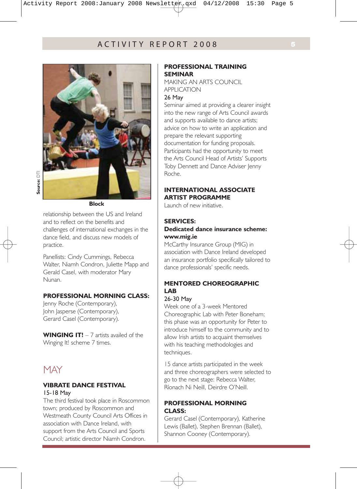

**Block**

relationship between the US and Ireland and to reflect on the benefits and challenges of international exchanges in the dance field, and discuss new models of practice.

Panellists: Cindy Cummings, Rebecca Walter, Niamh Condron, Iuliette Mapp and Gerald Casel, with moderator Mary Nunan.

#### **PROFESSIONAL MORNING CLASS:**

Jenny Roche (Contemporary), John Jasperse (Contemporary), Gerard Casel (Contemporary).

WINGING IT! – 7 artists availed of the Winging It! scheme 7 times.

## **MAY**

#### **VIBRATE DANCE FESTIVAL**  15-18 May

The third festival took place in Roscommon town; produced by Roscommon and Westmeath County Council Arts Offices in association with Dance Ireland, with support from the Arts Council and Sports Council; artistic director Niamh Condron.

#### **PROFESSIONAL TRAINING SEMINAR**

MAKING AN ARTS COUNCIL APPLICATION

#### 26 May

Seminar aimed at providing a clearer insight into the new range of Arts Council awards and supports available to dance artists; advice on how to write an application and prepare the relevant supporting documentation for funding proposals. Participants had the opportunity to meet the Arts Council Head of Artists' Supports Toby Dennett and Dance Adviser Jenny Roche.

#### **INTERNATIONAL ASSOCIATE ARTIST PROGRAMME**

Launch of new initiative.

#### **SERVICES:**

#### **Dedicated dance insurance scheme: www.mig.ie**

McCarthy Insurance Group (MIG) in association with Dance Ireland developed an insurance portfolio specifically tailored to dance professionals' specific needs.

#### **MENTORED CHOREOGRAPHIC LAB**

#### 26-30 May

Week one of a 3-week Mentored Choreographic Lab with Peter Boneham; this phase was an opportunity for Peter to introduce himself to the community and to allow Irish artists to acquaint themselves with his teaching methodologies and techniques.

15 dance artists participated in the week and three choreographers were selected to go to the next stage: Rebecca Walter, Ríonach Ni Neill, Deirdre O'Neill.

#### **PROFESSIONAL MORNING CLASS:**

Gerard Casel (Contemporary), Katherine Lewis (Ballet), Stephen Brennan (Ballet), Shannon Cooney (Contemporary).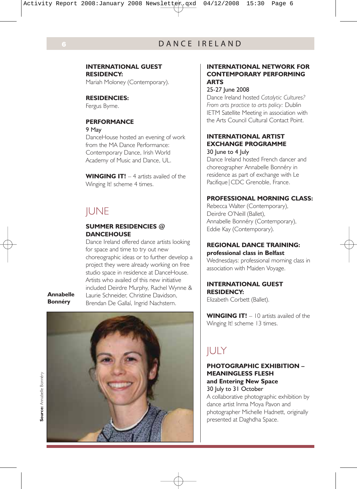#### **INTERNATIONAL GUEST RESIDENCY:**

Mariah Moloney (Contemporary).

#### **RESIDENCIES:**

Fergus Byrne.

#### **PERFORMANCE**

9 May

DanceHouse hosted an evening of work from the MA Dance Performance: Contemporary Dance, Irish World Academy of Music and Dance, UL.

**WINGING IT!** – 4 artists availed of the Winging It! scheme 4 times.

## **IUNE**

#### **SUMMER RESIDENCIES @ DANCEHOUSE**

Dance Ireland offered dance artists looking for space and time to try out new choreographic ideas or to further develop a project they were already working on free studio space in residence at DanceHouse. Artists who availed of this new initiative included Deirdre Murphy, Rachel Wynne & Laurie Schneider, Christine Davidson, Brendan De Gallaí, Ingrid Nachstern.

**Annabelle Bonnéry**



#### **INTERNATIONAL NETWORK FOR CONTEMPORARY PERFORMING ARTS**

#### 25-27 June 2008

Dance Ireland hosted *Catalytic Cultures? From arts practice to arts policy:* Dublin IETM Satellite Meeting in association with the Arts Council Cultural Contact Point.

#### **INTERNATIONAL ARTIST EXCHANGE PROGRAMME**

30 June to 4 July

Dance Ireland hosted French dancer and choreographer Annabelle Bonnéry in residence as part of exchange with Le Pacifique | CDC Grenoble, France.

#### **PROFESSIONAL MORNING CLASS:**

Rebecca Walter (Contemporary), Deirdre O'Neill (Ballet), Annabelle Bonnéry (Contemporary), Eddie Kay (Contemporary).

#### **REGIONAL DANCE TRAINING: professional class in Belfast**

Wednesdays: professional morning class in association with Maiden Voyage.

#### **INTERNATIONAL GUEST RESIDENCY:**

Elizabeth Corbett (Ballet).

**WINGING IT!** – 10 artists availed of the Winging It! scheme 13 times.

## **JULY**

#### **PHOTOGRAPHIC EXHIBITION – MEANINGLESS FLESH and Entering New Space**

30 July to 31 October

A collaborative photographic exhibition by dance artist Inma Moya Pavon and photographer Michelle Hadnett, originally presented at Daghdha Space.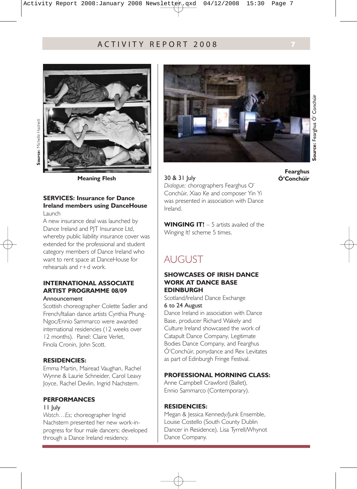#### ACTIVITY REPORT 2008 **7**



**Meaning Flesh**

#### **SERVICES: Insurance for Dance Ireland members using DanceHouse** Launch

A new insurance deal was launched by Dance Ireland and PIT Insurance Ltd. whereby public liability insurance cover was extended for the professional and student category members of Dance Ireland who want to rent space at DanceHouse for rehearsals and r+d work.

#### **INTERNATIONAL ASSOCIATE ARTIST PROGRAMME 08/09**

#### Announcement

Scottish choreographer Colette Sadler and French/Italian dance artists Cynthia Phung-Ngoc/Ennio Sammarco were awarded international residencies (12 weeks over 12 months). Panel: Claire Verlet, Finola Cronin, John Scott.

#### **RESIDENCIES:**

Emma Martin, Mairead Vaughan, Rachel Wynne & Laurie Schneider, Carol Leavy Joyce, Rachel Devlin, Ingrid Nachstern.

#### **PERFORMANCES**

#### 11 July

*Watch…Es*; choreographer Ingrid Nachstern presented her new work-inprogress for four male dancers; developed through a Dance Ireland residency.



**Source:** Fearghus Ó' Conchúir Source: Fearghus O' Conchúir **Fearghus** 

**Ó'Conchúir**

30 & 31 July *Dialogue;* chorographers Fearghus O' Conchúir, Xiao Ke and composer Yin Yi was presented in association with Dance Ireland.

WINGING IT! – 5 artists availed of the Winging It! scheme 5 times.

## AUGUST

#### **SHOWCASES OF IRISH DANCE WORK AT DANCE BASE EDINBURGH**

Scotland/Ireland Dance Exchange 6 to 24 August

Dance Ireland in association with Dance Base, producer Richard Wakely and Culture Ireland showcased the work of Catapult Dance Company, Legitimate Bodies Dance Company, and Fearghus Ó'Conchúir, ponydance and Rex Levitates as part of Edinburgh Fringe Festival.

#### **PROFESSIONAL MORNING CLASS:**

Anne Campbell Crawford (Ballet), Ennio Sammarco (Contemporary).

#### **RESIDENCIES:**

Megan & Jessica Kennedy/Junk Ensemble, Louise Costello (South County Dublin Dancer in Residence), Lisa Tyrrell/Whynot Dance Company.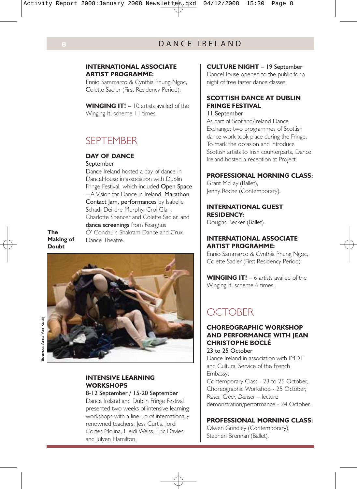#### **INTERNATIONAL ASSOCIATE ARTIST PROGRAMME:**

Ennio Sammarco & Cynthia Phung Ngoc, Colette Sadler (First Residency Period).

WINGING IT! – 10 artists availed of the Winging It! scheme 11 times.

## **SEPTEMBER**

#### **DAY OF DANCE**

#### September

Dance Ireland hosted a day of dance in DanceHouse in association with Dublin Fringe Festival, which included Open Space – A Vision for Dance in Ireland, Marathon Contact Jam, performances by Isabelle Schad, Deirdre Murphy, Croi Glan, Charlotte Spencer and Colette Sadler, and dance screenings from Fearghus Ó' Conchúir, Shakram Dance and Crux Dance Theatre.

**The Making of Doubt**



**Source:** Anna Van Kooii **Source:** Anna Van Kooij

#### **CULTURE NIGHT** – 19 September

DanceHouse opened to the public for a night of free taster dance classes.

#### **SCOTTISH DANCE AT DUBLIN FRINGE FESTIVAL**

#### 11 September

As part of Scotland/Ireland Dance Exchange; two programmes of Scottish dance work took place during the Fringe. To mark the occasion and introduce Scottish artists to Irish counterparts, Dance Ireland hosted a reception at Project.

#### **PROFESSIONAL MORNING CLASS:**

Grant McLay (Ballet), Jenny Roche (Contemporary).

**INTERNATIONAL GUEST RESIDENCY:** Douglas Becker (Ballet).

#### **INTERNATIONAL ASSOCIATE ARTIST PROGRAMME:**

Ennio Sammarco & Cynthia Phung Ngoc, Colette Sadler (First Residency Period).

WINGING IT! – 6 artists availed of the Winging It! scheme 6 times.

## **OCTOBER**

#### **CHOREOGRAPHIC WORKSHOP AND PERFORMANCE WITH JEAN CHRISTOPHE BOCLÉ**

23 to 25 October

Dance Ireland in association with IMDT and Cultural Service of the French Embassy:

Contemporary Class - 23 to 25 October, Choreographic Workshop - 25 October, *Parler, Créer, Danser* – lecture demonstration/performance - 24 October.

#### **PROFESSIONAL MORNING CLASS:**

Olwen Grindley (Contemporary), Stephen Brennan (Ballet).

#### **INTENSIVE LEARNING WORKSHOPS**

#### 8-12 September / 15-20 September

Dance Ireland and Dublin Fringe Festival presented two weeks of intensive learning workshops with a line-up of internationally renowned teachers: Jess Curtis, Jordi Cortés Molina, Heidi Weiss, Eric Davies and Julyen Hamilton.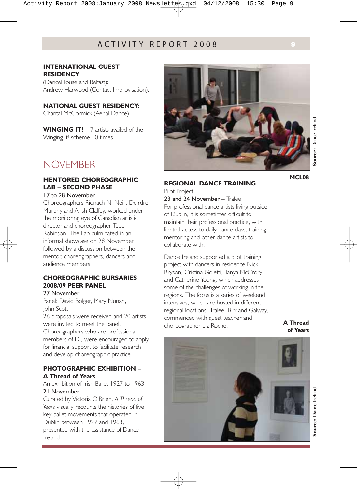#### **INTERNATIONAL GUEST RESIDENCY**

(DanceHouse and Belfast): Andrew Harwood (Contact Improvisation).

#### **NATIONAL GUEST RESIDENCY:**

Chantal McCormick (Aerial Dance).

**WINGING IT!** – 7 artists availed of the Winging It! scheme 10 times.

## NOVEMBER

#### **MENTORED CHOREOGRAPHIC LAB – SECOND PHASE**

#### 17 to 28 November

Choreographers Ríonach Ni Néill, Deirdre Murphy and Ailish Claffey, worked under the monitoring eye of Canadian artistic director and choreographer Tedd Robinson. The Lab culminated in an informal showcase on 28 November, followed by a discussion between the mentor, choreographers, dancers and audience members.

#### **CHOREOGRAPHIC BURSARIES 2008/09 PEER PANEL**

#### 27 November

Panel: David Bolger, Mary Nunan, John Scott.

26 proposals were received and 20 artists were invited to meet the panel. Choreographers who are professional members of DI, were encouraged to apply for financial support to facilitate research and develop choreographic practice.

#### **PHOTOGRAPHIC EXHIBITION – A Thread of Years**

An exhibition of Irish Ballet 1927 to 1963 21 November

Curated by Victoria O'Brien, *A Thread of Years* visually recounts the histories of five key ballet movements that operated in Dublin between 1927 and 1963, presented with the assistance of Dance Ireland.



## Source: Dance Ireland **Source:** Dance Ireland

#### **MCL08**

## **REGIONAL DANCE TRAINING**

Pilot Project

23 and 24 November - Tralee For professional dance artists living outside of Dublin, it is sometimes difficult to maintain their professional practice, with limited access to daily dance class, training, mentoring and other dance artists to collaborate with.

Dance Ireland supported a pilot training project with dancers in residence Nick Bryson, Cristina Goletti, Tanya McCrory and Catherine Young, which addresses some of the challenges of working in the regions. The focus is a series of weekend intensives, which are hosted in different regional locations, Tralee, Birr and Galway, commenced with guest teacher and choreographer Liz Roche.

**A Thread of Years**

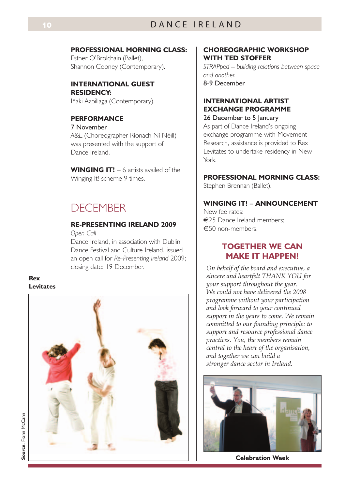#### **PROFESSIONAL MORNING CLASS:**

Esther O'Brolchain (Ballet), Shannon Cooney (Contemporary).

#### **INTERNATIONAL GUEST RESIDENCY:**

Iñaki Azpillaga (Contemporary).

#### **PERFORMANCE**

7 November *A&E* (Choreographer Ríonach Ní Néill) was presented with the support of Dance Ireland.

WINGING IT! – 6 artists availed of the Winging It! scheme 9 times.

## **DECEMBER**

#### **RE-PRESENTING IRELAND 2009**

*Open Call*

Dance Ireland, in association with Dublin Dance Festival and Culture Ireland, issued an open call for *Re-Presenting Ireland* 2009; closing date: 19 December.

**Rex Levitates**



#### **CHOREOGRAPHIC WORKSHOP WITH TED STOFFER**

*STRAPped – building relations between space and another.* 8-9 December

#### **INTERNATIONAL ARTIST EXCHANGE PROGRAMME**

26 December to 5 January As part of Dance Ireland's ongoing exchange programme with Movement Research, assistance is provided to Rex Levitates to undertake residency in New York.

#### **PROFESSIONAL MORNING CLASS:**

Stephen Brennan (Ballet).

#### **WINGING IT! – ANNOUNCEMENT**

New fee rates: €25 Dance Ireland members; €50 non-members.

#### **TOGETHER WE CAN MAKE IT HAPPEN!**

*On behalf of the board and executive, a sincere and heartfelt THANK YOU for your support throughout the year. We could not have delivered the 2008 programme without your participation and look forward to your continued support in the years to come. We remain committed to our founding principle: to support and resource professional dance practices. You, the members remain central to the heart of the organisation, and together we can build a stronger dance sector in Ireland.*



**Celebration Week**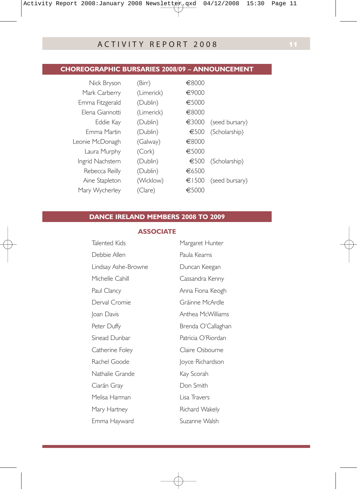#### **CHOREOGRAPHIC BURSARIES 2008/09 – ANNOUNCEMENT**

| Nick Bryson      | (Birr)     | €8000 |                |
|------------------|------------|-------|----------------|
| Mark Carberry    | (Limerick) | €9000 |                |
| Emma Fitzgerald  | (Dublin)   | €5000 |                |
| Elena Giannotti  | (Limerick) | €8000 |                |
| Eddie Kay        | (Dublin)   | €3000 | (seed bursary) |
| Emma Martin      | (Dublin)   | €500  | (Scholarship)  |
| Leonie McDonagh  | (Galway)   | €8000 |                |
| Laura Murphy     | (Cork)     | €5000 |                |
| Ingrid Nachstern | (Dublin)   | €500  | (Scholarship)  |
| Rebecca Reilly   | (Dublin)   | €6500 |                |
| Aine Stapleton   | (Wicklow)  | €1500 | (seed bursary) |
| Mary Wycherley   | (Clare)    | €5000 |                |
|                  |            |       |                |

#### **DANCE IRELAND MEMBERS 2008 TO 2009**

#### **ASSOCIATE**

| Talented Kids       | Margaret Hunter    |  |
|---------------------|--------------------|--|
| Debbie Allen        | Paula Kearns       |  |
| Lindsay Ashe-Browne | Duncan Keegan      |  |
| Michelle Cahill     | Cassandra Kenny    |  |
| Paul Clancy         | Anna Fiona Keogh   |  |
| Derval Cromie       | Gráinne McArdle    |  |
| Joan Davis          | Anthea McWilliams  |  |
| Peter Duffy         | Brenda O'Callaghan |  |
| Sinead Dunbar       | Patricia O'Riordan |  |
| Catherine Foley     | Claire Osbourne    |  |
| Rachel Goode        | Joyce Richardson   |  |
| Nathalie Grande     | Kay Scorah         |  |
| Ciarán Gray         | Don Smith          |  |
| Melisa Harman       | Lisa Travers       |  |
| Mary Hartney        | Richard Wakely     |  |
| Emma Hayward        | Suzanne Walsh      |  |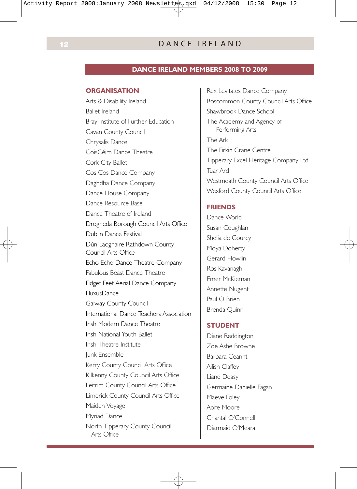### **12** DANCE IRELAND

#### **DANCE IRELAND MEMBERS 2008 TO 2009**

#### **ORGANISATION**

Arts & Disability Ireland Ballet Ireland Bray Institute of Further Education Cavan County Council Chrysalis Dance CoisCéim Dance Theatre Cork City Ballet Cos Cos Dance Company Daghdha Dance Company Dance House Company Dance Resource Base Dance Theatre of Ireland Drogheda Borough Council Arts Office Dublin Dance Festival Dún Laoghaire Rathdown County Council Arts Office Echo Echo Dance Theatre Company Fabulous Beast Dance Theatre Fidget Feet Aerial Dance Company FluxusDance Galway County Council International Dance Teachers Association Irish Modern Dance Theatre Irish National Youth Ballet Irish Theatre Institute Junk Ensemble Kerry County Council Arts Office Kilkenny County Council Arts Office Leitrim County Council Arts Office Limerick County Council Arts Office Maiden Voyage Myriad Dance North Tipperary County Council Arts Office

Rex Levitates Dance Company Roscommon County Council Arts Office Shawbrook Dance School The Academy and Agency of Performing Arts The Ark The Firkin Crane Centre Tipperary Excel Heritage Company Ltd. Tuar Ard Westmeath County Council Arts Office Wexford County Council Arts Office

#### **FRIENDS**

Dance World Susan Coughlan Shelia de Courcy Moya Doherty Gerard Howlin Ros Kavanagh Emer McKiernan Annette Nugent Paul O Brien Brenda Quinn

#### **STUDENT**

Diane Reddington Zoe Ashe Browne Barbara Ceannt Ailish Claffey Liane Deasy Germaine Danielle Fagan Maeve Foley Aoife Moore Chantal O'Connell Diarmaid O'Meara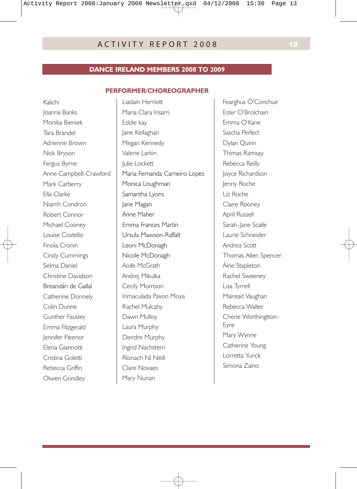#### **DANCE IRELAND MEMBERS 2008 TO 2009**

#### **PERFORMER/CHOREOGRAPHER**

Kalichi Joanna Banks Monika Bieniek Tara Brandel Adrienne Brown Nick Bryson Fergus Byrne Anne Campbell-Crawford Mark Carberry Ella Clarke Niamh Condron Robert Connor Michael Cooney Louise Costello Finola Cronin Cindy Cummings Selma Daniel Christine Davidson Breandán de Gallaí Catherine Donnely Colin Dunne Gunther Fausley Emma Fitzgerald Jennifer Fleenor Elena Giannotti Cristina Goletti Rebecca Griffin Olwen Grindley

Liadain Herriott Maria Clara Irisarri Eddie kay Jane Kellaghan Megan Kennedy Valerie Larkin Julie Lockett Maria Fernanda Carneiro Lopes Monica Loughman Samantha Lyons Jane Magan Anne Maher Emma Frances Martin Ursula Mawson-Raffalt Leoni McDonagh Nicole McDonagh Aoife McGrath Andrej Mikulka Cecily Morrison Inmaculada Pavon Moya Rachel Mulcahy Dawn Mulloy Laura Murphy Deirdre Murphy Ingrid Nachstern Ríonach Ní Néill Clare Novaes Mary Nunan

Fearghus Ó'Conchuir Ester O'Brolchain Emma O'Kane Sascha Perfect Dylan Quinn Thimas Ramsay Rebecca Reilly Joyce Richardson Jenny Roche Liz Roche Claire Rooney April Russell Sarah-Jane Scaife Laurie Schneider Andrea Scott Thomas Allen Spencer Áine Stapleton Rachel Sweeney Lisa Tyrrell Mairead Vaughan Rebecca Walter Cherie Worthingtton-Eyre Mary Wynne Catherine Young Lorretta Yurick Simona Zaino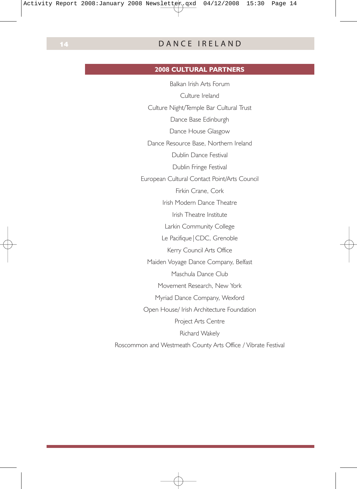#### **2008 CULTURAL PARTNERS**

Balkan Irish Arts Forum Culture Ireland Culture Night/Temple Bar Cultural Trust Dance Base Edinburgh Dance House Glasgow Dance Resource Base, Northern Ireland Dublin Dance Festival Dublin Fringe Festival European Cultural Contact Point/Arts Council Firkin Crane, Cork Irish Modern Dance Theatre Irish Theatre Institute Larkin Community College Le Pacifique | CDC, Grenoble Kerry Council Arts Office Maiden Voyage Dance Company, Belfast Maschula Dance Club Movement Research, New York Myriad Dance Company, Wexford Open House/ Irish Architecture Foundation Project Arts Centre Richard Wakely Roscommon and Westmeath County Arts Office / Vibrate Festival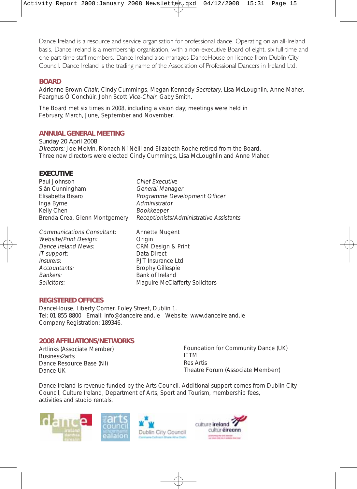Dance Ireland is a resource and service organisation for professional dance. Operating on an all-Ireland basis, Dance Ireland is a membership organisation, with a non-executive Board of eight, six full-time and one part-time staff members. Dance Ireland also manages DanceHouse on licence from Dublin City Council. Dance Ireland is the trading name of the Association of Professional Dancers in Ireland Ltd.

#### **BOARD**

Adrienne Brown Chair, Cindy Cummings, Megan Kennedy Secretary, Lisa McLoughlin, Anne Maher, Fearghus Ó'Conchúir, John Scott Vice-Chair, Gaby Smith.

The Board met six times in 2008, including a vision day; meetings were held in February, March, June, September and November.

#### **ANNUAL GENERAL MEETING**

#### Sunday 20 April 2008

Directors: Joe Melvin, Ríonach Ní Néill and Elizabeth Roche retired from the Board. Three new directors were elected Cindy Cummings, Lisa McLoughlin and Anne Maher.

#### **EXECUTIVE**

| Paul Johnson                  | <b>Chief Executive</b>                  |
|-------------------------------|-----------------------------------------|
| Siân Cunningham               | General Manager                         |
| Elisabetta Bisaro             | Programme Development Officer           |
| Inga Byrne                    | Administrator                           |
| Kelly Chen                    | Bookkeeper                              |
| Brenda Crea, Glenn Montgomery | Receptionists/Administrative Assistants |
|                               |                                         |

Communications Consultant: Annette Nugent Website/Print Design: Crigin<br>
Dance Ireland News: CRM Design & Print Dance Ireland News: CRM Design<br>
IT support: Data Direct  $IT$  support: Insurers: PJT Insurance Ltd Accountants: Brophy Gillespie Bankers:<br>
Solicitors:<br>
Magnuire McCla

Maguire McClafferty Solicitors

#### **REGISTERED OFFICES**

DanceHouse, Liberty Corner, Foley Street, Dublin 1. Tel: 01 855 8800 Email: info@danceireland.ie Website: www.danceireland.ie Company Registration: 189346.

#### **2008 AFFILIATIONS/NETWORKS**

Artlinks (Associate Member) Business2arts Dance Resource Base (NI) Dance UK

Foundation for Community Dance (UK) IETM Res Artis Theatre Forum (Associate Memberr)

Dance Ireland is revenue funded by the Arts Council. Additional support comes from Dublin City Council, Culture Ireland, Department of Arts, Sport and Tourism, membership fees, activities and studio rentals.